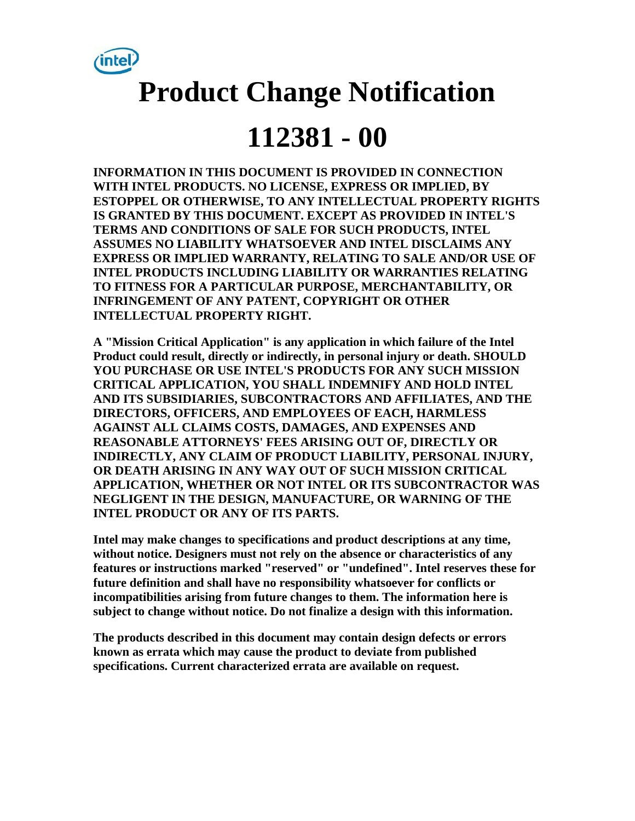

# **Product Change Notification**

## **112381 - 00**

**INFORMATION IN THIS DOCUMENT IS PROVIDED IN CONNECTION WITH INTEL PRODUCTS. NO LICENSE, EXPRESS OR IMPLIED, BY ESTOPPEL OR OTHERWISE, TO ANY INTELLECTUAL PROPERTY RIGHTS IS GRANTED BY THIS DOCUMENT. EXCEPT AS PROVIDED IN INTEL'S TERMS AND CONDITIONS OF SALE FOR SUCH PRODUCTS, INTEL ASSUMES NO LIABILITY WHATSOEVER AND INTEL DISCLAIMS ANY EXPRESS OR IMPLIED WARRANTY, RELATING TO SALE AND/OR USE OF INTEL PRODUCTS INCLUDING LIABILITY OR WARRANTIES RELATING TO FITNESS FOR A PARTICULAR PURPOSE, MERCHANTABILITY, OR INFRINGEMENT OF ANY PATENT, COPYRIGHT OR OTHER INTELLECTUAL PROPERTY RIGHT.** 

**A "Mission Critical Application" is any application in which failure of the Intel Product could result, directly or indirectly, in personal injury or death. SHOULD YOU PURCHASE OR USE INTEL'S PRODUCTS FOR ANY SUCH MISSION CRITICAL APPLICATION, YOU SHALL INDEMNIFY AND HOLD INTEL AND ITS SUBSIDIARIES, SUBCONTRACTORS AND AFFILIATES, AND THE DIRECTORS, OFFICERS, AND EMPLOYEES OF EACH, HARMLESS AGAINST ALL CLAIMS COSTS, DAMAGES, AND EXPENSES AND REASONABLE ATTORNEYS' FEES ARISING OUT OF, DIRECTLY OR INDIRECTLY, ANY CLAIM OF PRODUCT LIABILITY, PERSONAL INJURY, OR DEATH ARISING IN ANY WAY OUT OF SUCH MISSION CRITICAL APPLICATION, WHETHER OR NOT INTEL OR ITS SUBCONTRACTOR WAS NEGLIGENT IN THE DESIGN, MANUFACTURE, OR WARNING OF THE INTEL PRODUCT OR ANY OF ITS PARTS.** 

**Intel may make changes to specifications and product descriptions at any time, without notice. Designers must not rely on the absence or characteristics of any features or instructions marked "reserved" or "undefined". Intel reserves these for future definition and shall have no responsibility whatsoever for conflicts or incompatibilities arising from future changes to them. The information here is subject to change without notice. Do not finalize a design with this information.** 

**The products described in this document may contain design defects or errors known as errata which may cause the product to deviate from published specifications. Current characterized errata are available on request.**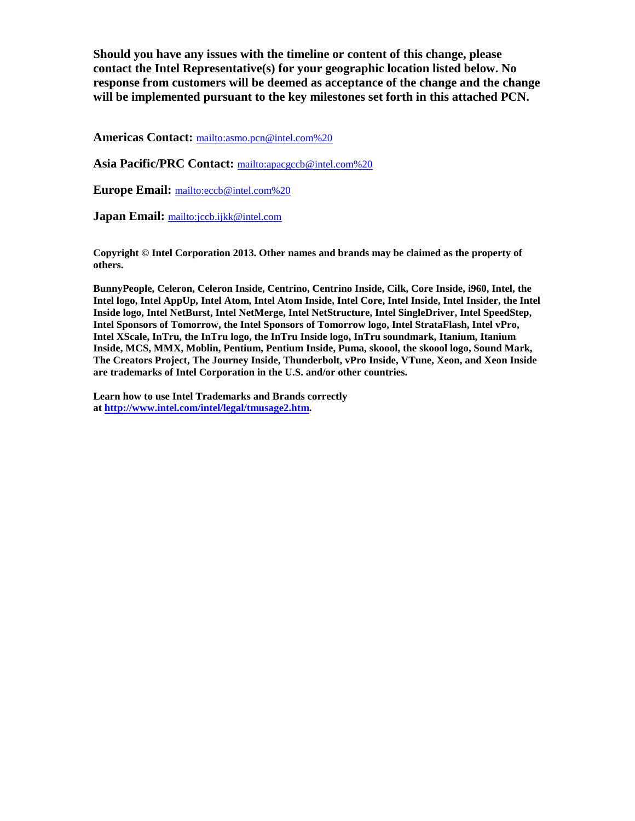**Should you have any issues with the timeline or content of this change, please contact the Intel Representative(s) for your geographic location listed below. No response from customers will be deemed as acceptance of the change and the change will be implemented pursuant to the key milestones set forth in this attached PCN.** 

**Americas Contact:** [mailto:asmo.pcn@intel.com%20](mailto:asmo.pcn@intel.com)

**Asia Pacific/PRC Contact:** [mailto:apacgccb@intel.com%20](mailto:apacgccb@intel.com)

**Europe Email:** [mailto:eccb@intel.com%20](mailto:eccb@intel.com)

**Japan Email:** <mailto:jccb.ijkk@intel.com>

**Copyright © Intel Corporation 2013. Other names and brands may be claimed as the property of others.**

**BunnyPeople, Celeron, Celeron Inside, Centrino, Centrino Inside, Cilk, Core Inside, i960, Intel, the Intel logo, Intel AppUp, Intel Atom, Intel Atom Inside, Intel Core, Intel Inside, Intel Insider, the Intel Inside logo, Intel NetBurst, Intel NetMerge, Intel NetStructure, Intel SingleDriver, Intel SpeedStep, Intel Sponsors of Tomorrow, the Intel Sponsors of Tomorrow logo, Intel StrataFlash, Intel vPro, Intel XScale, InTru, the InTru logo, the InTru Inside logo, InTru soundmark, Itanium, Itanium Inside, MCS, MMX, Moblin, Pentium, Pentium Inside, Puma, skoool, the skoool logo, Sound Mark, The Creators Project, The Journey Inside, Thunderbolt, vPro Inside, VTune, Xeon, and Xeon Inside are trademarks of Intel Corporation in the U.S. and/or other countries.**

**Learn how to use Intel Trademarks and Brands correctly at [http://www.intel.com/intel/legal/tmusage2.htm.](http://www.intel.com/intel/legal/tmusage2.htm)**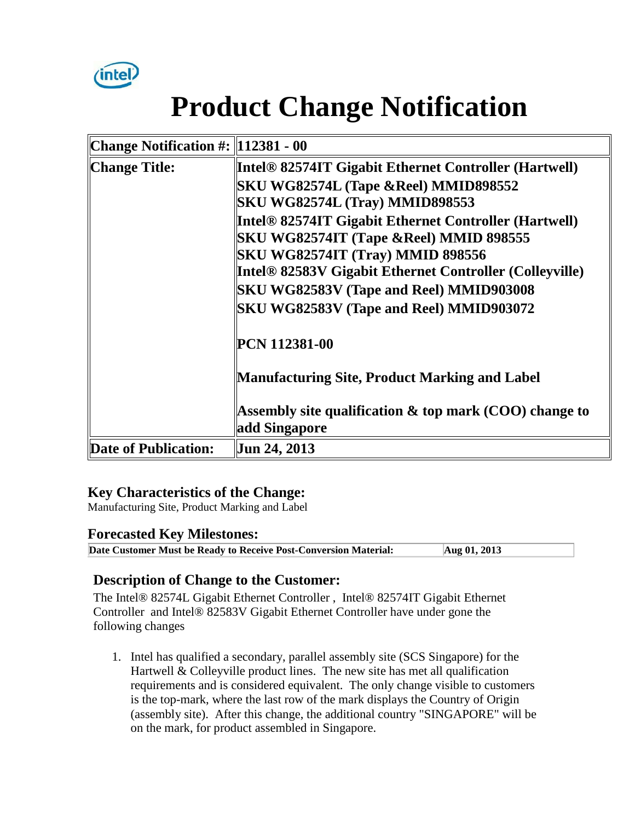

# **Product Change Notification**

| Change Notification #:   112381 - 00 |                                                           |  |
|--------------------------------------|-----------------------------------------------------------|--|
| Change Title:                        | Intel® 82574IT Gigabit Ethernet Controller (Hartwell)     |  |
|                                      | SKU WG82574L (Tape &Reel) MMID898552                      |  |
|                                      | <b>SKU WG82574L (Tray) MMID898553</b>                     |  |
|                                      | Intel® 82574IT Gigabit Ethernet Controller (Hartwell)     |  |
|                                      | SKU WG82574IT (Tape &Reel) MMID 898555                    |  |
|                                      | <b>SKU WG82574IT (Tray) MMID 898556</b>                   |  |
|                                      | Intel® 82583V Gigabit Ethernet Controller (Colleyville)   |  |
|                                      | <b>SKU WG82583V (Tape and Reel) MMID903008</b>            |  |
|                                      | <b>SKU WG82583V (Tape and Reel) MMID903072</b>            |  |
|                                      | PCN 112381-00                                             |  |
|                                      | Manufacturing Site, Product Marking and Label             |  |
|                                      | Assembly site qualification $\&$ top mark (COO) change to |  |
|                                      | add Singapore                                             |  |
| Date of Publication:                 | Jun 24, 2013                                              |  |

#### **Key Characteristics of the Change:**

Manufacturing Site, Product Marking and Label

#### **Forecasted Key Milestones:**

**Date Customer Must be Ready to Receive Post-Conversion Material: Aug 01, 2013**

#### **Description of Change to the Customer:**

The Intel® 82574L Gigabit Ethernet Controller , Intel® 82574IT Gigabit Ethernet Controller and Intel® 82583V Gigabit Ethernet Controller have under gone the following changes

1. Intel has qualified a secondary, parallel assembly site (SCS Singapore) for the Hartwell  $&$  Colleyville product lines. The new site has met all qualification requirements and is considered equivalent. The only change visible to customers is the top-mark, where the last row of the mark displays the Country of Origin (assembly site). After this change, the additional country "SINGAPORE" will be on the mark, for product assembled in Singapore.